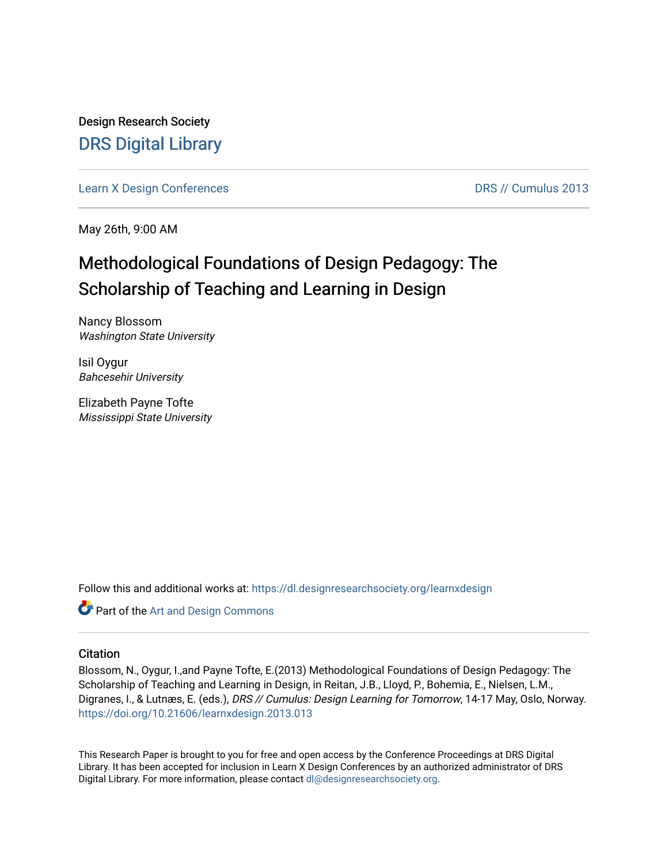Design Research Society [DRS Digital Library](https://dl.designresearchsociety.org/)

[Learn X Design Conferences](https://dl.designresearchsociety.org/learnxdesign) **DRS // Cumulus 2013** 

May 26th, 9:00 AM

# Methodological Foundations of Design Pedagogy: The Scholarship of Teaching and Learning in Design

Nancy Blossom Washington State University

Isil Oygur Bahcesehir University

Elizabeth Payne Tofte Mississippi State University

Follow this and additional works at: [https://dl.designresearchsociety.org/learnxdesign](https://dl.designresearchsociety.org/learnxdesign?utm_source=dl.designresearchsociety.org%2Flearnxdesign%2Flearnxdesign2013%2Fresearchpapers%2F13&utm_medium=PDF&utm_campaign=PDFCoverPages)

Part of the [Art and Design Commons](http://network.bepress.com/hgg/discipline/1049?utm_source=dl.designresearchsociety.org%2Flearnxdesign%2Flearnxdesign2013%2Fresearchpapers%2F13&utm_medium=PDF&utm_campaign=PDFCoverPages)

### **Citation**

Blossom, N., Oygur, I.,and Payne Tofte, E.(2013) Methodological Foundations of Design Pedagogy: The Scholarship of Teaching and Learning in Design, in Reitan, J.B., Lloyd, P., Bohemia, E., Nielsen, L.M., Digranes, I., & Lutnæs, E. (eds.), DRS // Cumulus: Design Learning for Tomorrow, 14-17 May, Oslo, Norway. <https://doi.org/10.21606/learnxdesign.2013.013>

This Research Paper is brought to you for free and open access by the Conference Proceedings at DRS Digital Library. It has been accepted for inclusion in Learn X Design Conferences by an authorized administrator of DRS Digital Library. For more information, please contact [dl@designresearchsociety.org](mailto:dl@designresearchsociety.org).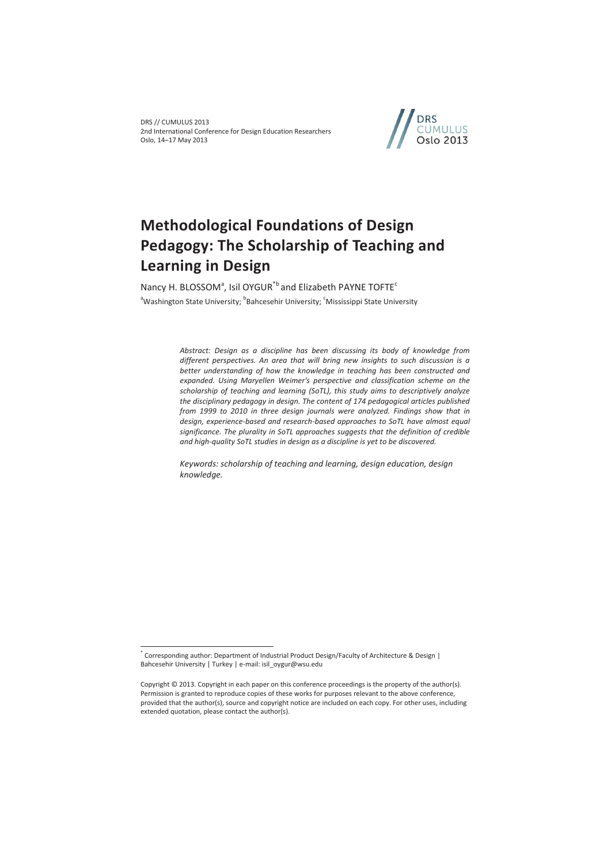DRS // CUMULUS 2013 2nd International Conference for Design Education Researchers Oslo, 14–17 May 2013



# **Methodological Foundations of Design Pedagogy: The Scholarship of Teaching and Learning in Design**

Nancy H. BLOSSOM<sup>a</sup>, Isil OYGUR<sup>\*b</sup> and Elizabeth PAYNE TOFTE<sup>c</sup> <sup>a</sup>Washington State University; <sup>b</sup>Bahcesehir University; <sup>c</sup>Mississippi State University

> *Abstract: Design as a discipline has been discussing its body of knowledge from different perspectives. An area that will bring new insights to such discussion is a better understanding of how the knowledge in teaching has been constructed and expanded. Using Maryellen Weimer's perspective and classification scheme on the scholarship of teaching and learning (SoTL), this study aims to descriptively analyze the disciplinary pedagogy in design. The content of 174 pedagogical articles published from 1999 to 2010 in three design journals were analyzed. Findings show that in design, experience-based and research-based approaches to SoTL have almost equal significance. The plurality in SoTL approaches suggests that the definition of credible and high-quality SoTL studies in design as a discipline is yet to be discovered.*

*Keywords: scholarship of teaching and learning, design education, design knowledge.* 

<sup>\*</sup> Corresponding author: Department of Industrial Product Design/Faculty of Architecture & Design | Bahcesehir University | Turkey | e-mail: isil\_oygur@wsu.edu

Copyright © 2013. Copyright in each paper on this conference proceedings is the property of the author(s). Permission is granted to reproduce copies of these works for purposes relevant to the above conference, provided that the author(s), source and copyright notice are included on each copy. For other uses, including extended quotation, please contact the author(s).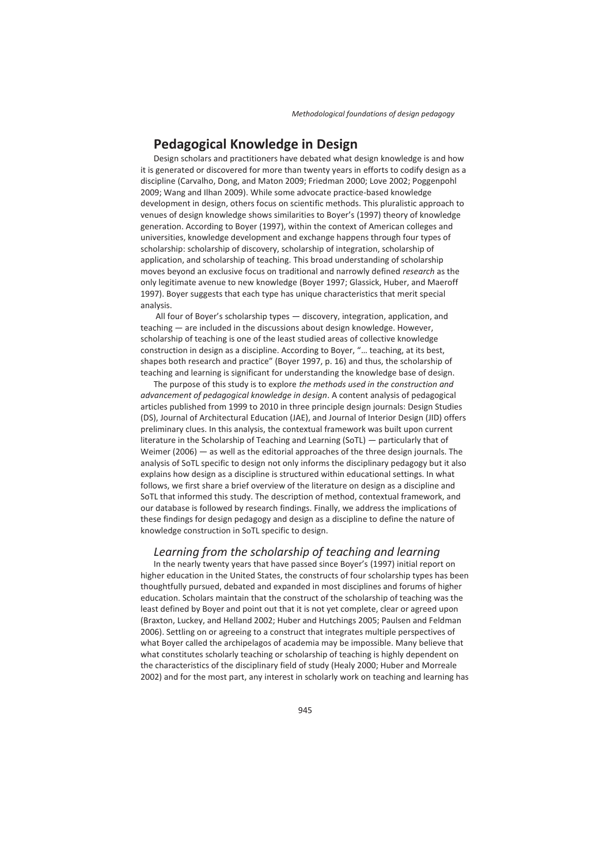# **Pedagogical Knowledge in Design**

Design scholars and practitioners have debated what design knowledge is and how it is generated or discovered for more than twenty years in efforts to codify design as a discipline (Carvalho, Dong, and Maton 2009; Friedman 2000; Love 2002; Poggenpohl 2009; Wang and Ilhan 2009). While some advocate practice-based knowledge development in design, others focus on scientific methods. This pluralistic approach to venues of design knowledge shows similarities to Boyer's (1997) theory of knowledge generation. According to Boyer (1997), within the context of American colleges and universities, knowledge development and exchange happens through four types of scholarship: scholarship of discovery, scholarship of integration, scholarship of application, and scholarship of teaching. This broad understanding of scholarship moves beyond an exclusive focus on traditional and narrowly defined *research* as the only legitimate avenue to new knowledge (Boyer 1997; Glassick, Huber, and Maeroff 1997). Boyer suggests that each type has unique characteristics that merit special analysis.

 All four of Boyer's scholarship types — discovery, integration, application, and teaching — are included in the discussions about design knowledge. However, scholarship of teaching is one of the least studied areas of collective knowledge construction in design as a discipline. According to Boyer, "… teaching, at its best, shapes both research and practice" (Boyer 1997, p. 16) and thus, the scholarship of teaching and learning is significant for understanding the knowledge base of design.

The purpose of this study is to explore *the methods used in the construction and advancement of pedagogical knowledge in design*. A content analysis of pedagogical articles published from 1999 to 2010 in three principle design journals: Design Studies (DS), Journal of Architectural Education (JAE), and Journal of Interior Design (JID) offers preliminary clues. In this analysis, the contextual framework was built upon current literature in the Scholarship of Teaching and Learning (SoTL) — particularly that of Weimer (2006) — as well as the editorial approaches of the three design journals. The analysis of SoTL specific to design not only informs the disciplinary pedagogy but it also explains how design as a discipline is structured within educational settings. In what follows, we first share a brief overview of the literature on design as a discipline and SoTL that informed this study. The description of method, contextual framework, and our database is followed by research findings. Finally, we address the implications of these findings for design pedagogy and design as a discipline to define the nature of knowledge construction in SoTL specific to design.

### *Learning from the scholarship of teaching and learning*

In the nearly twenty years that have passed since Boyer's (1997) initial report on higher education in the United States, the constructs of four scholarship types has been thoughtfully pursued, debated and expanded in most disciplines and forums of higher education. Scholars maintain that the construct of the scholarship of teaching was the least defined by Boyer and point out that it is not yet complete, clear or agreed upon (Braxton, Luckey, and Helland 2002; Huber and Hutchings 2005; Paulsen and Feldman 2006). Settling on or agreeing to a construct that integrates multiple perspectives of what Boyer called the archipelagos of academia may be impossible. Many believe that what constitutes scholarly teaching or scholarship of teaching is highly dependent on the characteristics of the disciplinary field of study (Healy 2000; Huber and Morreale 2002) and for the most part, any interest in scholarly work on teaching and learning has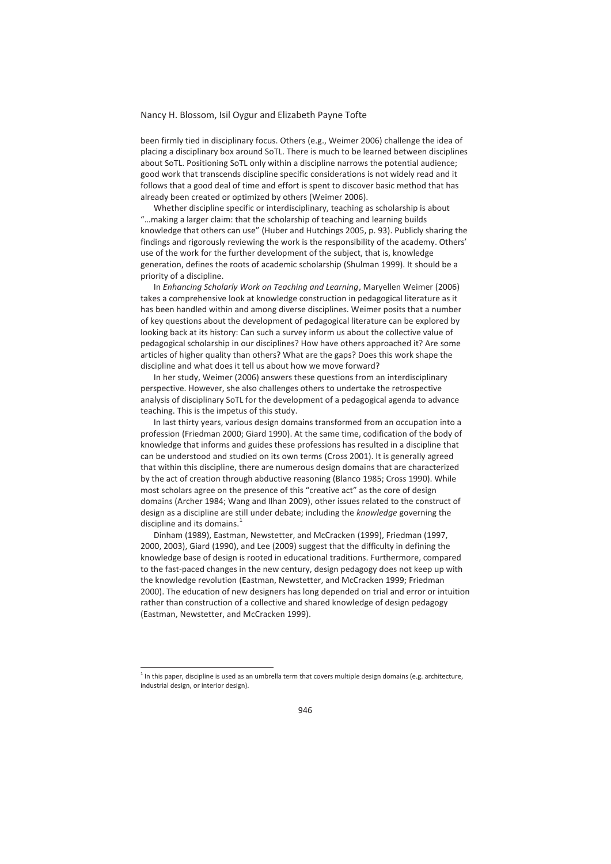been firmly tied in disciplinary focus. Others (e.g., Weimer 2006) challenge the idea of placing a disciplinary box around SoTL. There is much to be learned between disciplines about SoTL. Positioning SoTL only within a discipline narrows the potential audience; good work that transcends discipline specific considerations is not widely read and it follows that a good deal of time and effort is spent to discover basic method that has already been created or optimized by others (Weimer 2006).

Whether discipline specific or interdisciplinary, teaching as scholarship is about "…making a larger claim: that the scholarship of teaching and learning builds knowledge that others can use" (Huber and Hutchings 2005, p. 93). Publicly sharing the findings and rigorously reviewing the work is the responsibility of the academy. Others' use of the work for the further development of the subject, that is, knowledge generation, defines the roots of academic scholarship (Shulman 1999). It should be a priority of a discipline.

In *Enhancing Scholarly Work on Teaching and Learning*, Maryellen Weimer (2006) takes a comprehensive look at knowledge construction in pedagogical literature as it has been handled within and among diverse disciplines. Weimer posits that a number of key questions about the development of pedagogical literature can be explored by looking back at its history: Can such a survey inform us about the collective value of pedagogical scholarship in our disciplines? How have others approached it? Are some articles of higher quality than others? What are the gaps? Does this work shape the discipline and what does it tell us about how we move forward?

In her study, Weimer (2006) answers these questions from an interdisciplinary perspective. However, she also challenges others to undertake the retrospective analysis of disciplinary SoTL for the development of a pedagogical agenda to advance teaching. This is the impetus of this study.

In last thirty years, various design domains transformed from an occupation into a profession (Friedman 2000; Giard 1990). At the same time, codification of the body of knowledge that informs and guides these professions has resulted in a discipline that can be understood and studied on its own terms (Cross 2001). It is generally agreed that within this discipline, there are numerous design domains that are characterized by the act of creation through abductive reasoning (Blanco 1985; Cross 1990). While most scholars agree on the presence of this "creative act" as the core of design domains (Archer 1984; Wang and Ilhan 2009), other issues related to the construct of design as a discipline are still under debate; including the *knowledge* governing the discipline and its domains.<sup>1</sup>

Dinham (1989), Eastman, Newstetter, and McCracken (1999), Friedman (1997, 2000, 2003), Giard (1990), and Lee (2009) suggest that the difficulty in defining the knowledge base of design is rooted in educational traditions. Furthermore, compared to the fast-paced changes in the new century, design pedagogy does not keep up with the knowledge revolution (Eastman, Newstetter, and McCracken 1999; Friedman 2000). The education of new designers has long depended on trial and error or intuition rather than construction of a collective and shared knowledge of design pedagogy (Eastman, Newstetter, and McCracken 1999).

 $1$  In this paper, discipline is used as an umbrella term that covers multiple design domains (e.g. architecture, industrial design, or interior design).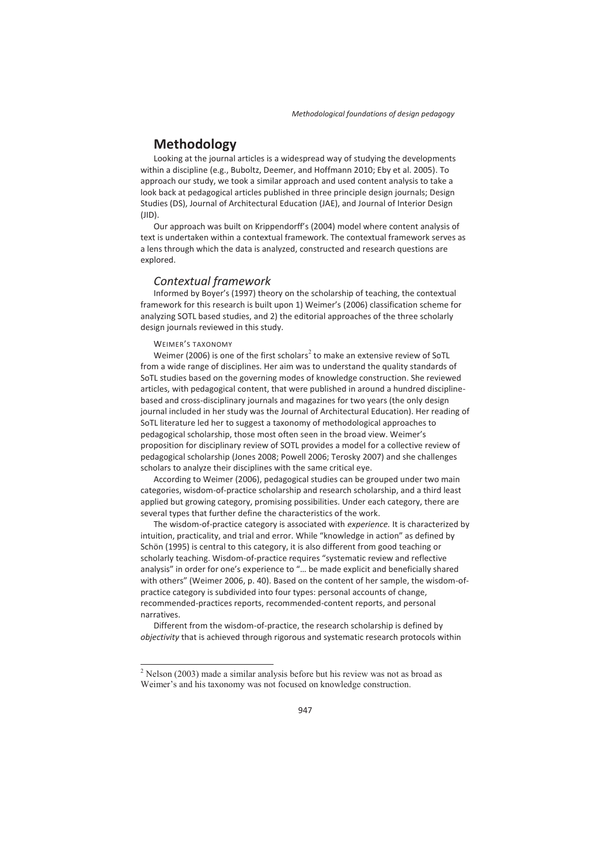# **Methodology**

Looking at the journal articles is a widespread way of studying the developments within a discipline (e.g., Buboltz, Deemer, and Hoffmann 2010; Eby et al. 2005). To approach our study, we took a similar approach and used content analysis to take a look back at pedagogical articles published in three principle design journals; Design Studies (DS), Journal of Architectural Education (JAE), and Journal of Interior Design (JID).

Our approach was built on Krippendorff's (2004) model where content analysis of text is undertaken within a contextual framework. The contextual framework serves as a lens through which the data is analyzed, constructed and research questions are explored.

## *Contextual framework*

Informed by Boyer's (1997) theory on the scholarship of teaching, the contextual framework for this research is built upon 1) Weimer's (2006) classification scheme for analyzing SOTL based studies, and 2) the editorial approaches of the three scholarly design journals reviewed in this study.

#### WEIMER'S TAXONOMY

 $\overline{a}$ 

Weimer (2006) is one of the first scholars<sup>2</sup> to make an extensive review of SoTL from a wide range of disciplines. Her aim was to understand the quality standards of SoTL studies based on the governing modes of knowledge construction. She reviewed articles, with pedagogical content, that were published in around a hundred disciplinebased and cross-disciplinary journals and magazines for two years (the only design journal included in her study was the Journal of Architectural Education). Her reading of SoTL literature led her to suggest a taxonomy of methodological approaches to pedagogical scholarship, those most often seen in the broad view. Weimer's proposition for disciplinary review of SOTL provides a model for a collective review of pedagogical scholarship (Jones 2008; Powell 2006; Terosky 2007) and she challenges scholars to analyze their disciplines with the same critical eye.

According to Weimer (2006), pedagogical studies can be grouped under two main categories, wisdom-of-practice scholarship and research scholarship, and a third least applied but growing category, promising possibilities. Under each category, there are several types that further define the characteristics of the work.

The wisdom-of-practice category is associated with *experience.* It is characterized by intuition, practicality, and trial and error. While "knowledge in action" as defined by Schön (1995) is central to this category, it is also different from good teaching or scholarly teaching. Wisdom-of-practice requires "systematic review and reflective analysis" in order for one's experience to "… be made explicit and beneficially shared with others" (Weimer 2006, p. 40). Based on the content of her sample, the wisdom-ofpractice category is subdivided into four types: personal accounts of change, recommended-practices reports, recommended-content reports, and personal narratives.

Different from the wisdom-of-practice, the research scholarship is defined by *objectivity* that is achieved through rigorous and systematic research protocols within

<sup>2</sup> Nelson (2003) made a similar analysis before but his review was not as broad as Weimer's and his taxonomy was not focused on knowledge construction.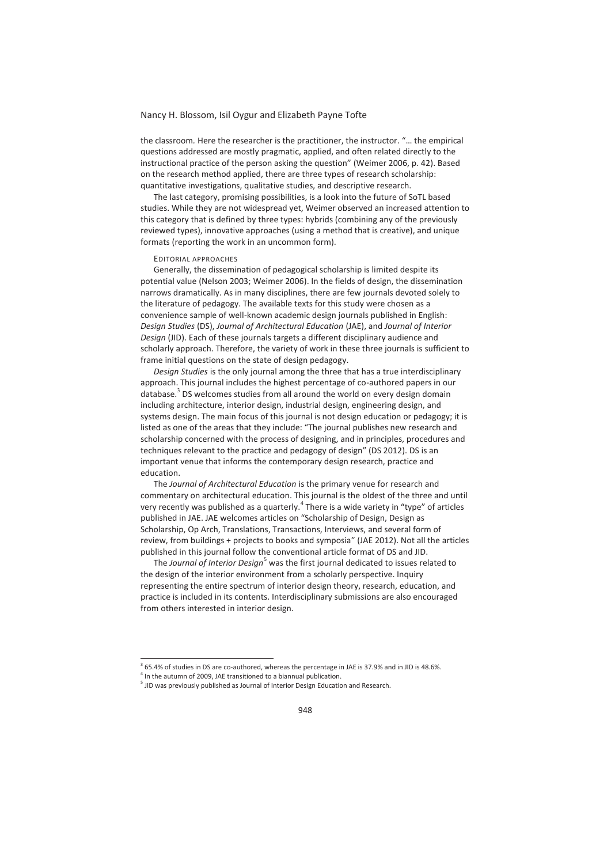the classroom*.* Here the researcher is the practitioner, the instructor. "… the empirical questions addressed are mostly pragmatic, applied, and often related directly to the instructional practice of the person asking the question" (Weimer 2006, p. 42). Based on the research method applied, there are three types of research scholarship: quantitative investigations, qualitative studies, and descriptive research.

The last category, promising possibilities, is a look into the future of SoTL based studies. While they are not widespread yet, Weimer observed an increased attention to this category that is defined by three types: hybrids (combining any of the previously reviewed types), innovative approaches (using a method that is creative), and unique formats (reporting the work in an uncommon form).

#### EDITORIAL APPROACHES

Generally, the dissemination of pedagogical scholarship is limited despite its potential value (Nelson 2003; Weimer 2006). In the fields of design, the dissemination narrows dramatically. As in many disciplines, there are few journals devoted solely to the literature of pedagogy. The available texts for this study were chosen as a convenience sample of well-known academic design journals published in English: *Design Studies* (DS), *Journal of Architectural Education* (JAE), and *Journal of Interior Design* (JID). Each of these journals targets a different disciplinary audience and scholarly approach. Therefore, the variety of work in these three journals is sufficient to frame initial questions on the state of design pedagogy.

*Design Studies* is the only journal among the three that has a true interdisciplinary approach. This journal includes the highest percentage of co-authored papers in our database.<sup>3</sup> DS welcomes studies from all around the world on every design domain including architecture, interior design, industrial design, engineering design, and systems design. The main focus of this journal is not design education or pedagogy; it is listed as one of the areas that they include: "The journal publishes new research and scholarship concerned with the process of designing, and in principles, procedures and techniques relevant to the practice and pedagogy of design" (DS 2012). DS is an important venue that informs the contemporary design research, practice and education.

The *Journal of Architectural Education* is the primary venue for research and commentary on architectural education. This journal is the oldest of the three and until very recently was published as a quarterly.<sup>4</sup> There is a wide variety in "type" of articles published in JAE. JAE welcomes articles on "Scholarship of Design, Design as Scholarship, Op Arch, Translations, Transactions, Interviews, and several form of review, from buildings + projects to books and symposia" (JAE 2012). Not all the articles published in this journal follow the conventional article format of DS and JID.

The *Journal of Interior Design*<sup>5</sup> was the first journal dedicated to issues related to the design of the interior environment from a scholarly perspective. Inquiry representing the entire spectrum of interior design theory, research, education, and practice is included in its contents. Interdisciplinary submissions are also encouraged from others interested in interior design.

 $365.4\%$  of studies in DS are co-authored, whereas the percentage in JAE is 37.9% and in JID is 48.6%.<br> $4 \text{ lb}$  the autumn of 2000, JAE transitioned to a binanual oublication.

 $<sup>4</sup>$  In the autumn of 2009, JAE transitioned to a biannual publication.</sup>

<sup>&</sup>lt;sup>5</sup> JID was previously published as Journal of Interior Design Education and Research.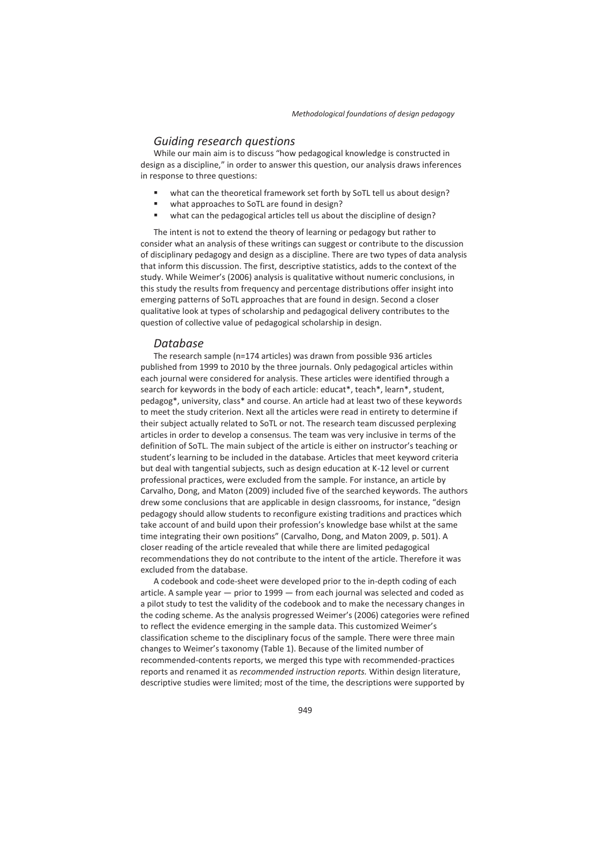### *Guiding research questions*

While our main aim is to discuss "how pedagogical knowledge is constructed in design as a discipline," in order to answer this question, our analysis draws inferences in response to three questions:

- what can the theoretical framework set forth by SoTL tell us about design?
- what approaches to SoTL are found in design?
- what can the pedagogical articles tell us about the discipline of design?

The intent is not to extend the theory of learning or pedagogy but rather to consider what an analysis of these writings can suggest or contribute to the discussion of disciplinary pedagogy and design as a discipline. There are two types of data analysis that inform this discussion. The first, descriptive statistics, adds to the context of the study. While Weimer's (2006) analysis is qualitative without numeric conclusions, in this study the results from frequency and percentage distributions offer insight into emerging patterns of SoTL approaches that are found in design. Second a closer qualitative look at types of scholarship and pedagogical delivery contributes to the question of collective value of pedagogical scholarship in design.

#### *Database*

The research sample (n=174 articles) was drawn from possible 936 articles published from 1999 to 2010 by the three journals. Only pedagogical articles within each journal were considered for analysis. These articles were identified through a search for keywords in the body of each article: educat\*, teach\*, learn\*, student, pedagog\*, university, class\* and course. An article had at least two of these keywords to meet the study criterion. Next all the articles were read in entirety to determine if their subject actually related to SoTL or not. The research team discussed perplexing articles in order to develop a consensus. The team was very inclusive in terms of the definition of SoTL. The main subject of the article is either on instructor's teaching or student's learning to be included in the database. Articles that meet keyword criteria but deal with tangential subjects, such as design education at K-12 level or current professional practices, were excluded from the sample. For instance, an article by Carvalho, Dong, and Maton (2009) included five of the searched keywords. The authors drew some conclusions that are applicable in design classrooms, for instance, "design pedagogy should allow students to reconfigure existing traditions and practices which take account of and build upon their profession's knowledge base whilst at the same time integrating their own positions" (Carvalho, Dong, and Maton 2009, p. 501). A closer reading of the article revealed that while there are limited pedagogical recommendations they do not contribute to the intent of the article. Therefore it was excluded from the database.

A codebook and code-sheet were developed prior to the in-depth coding of each article. A sample year — prior to 1999 — from each journal was selected and coded as a pilot study to test the validity of the codebook and to make the necessary changes in the coding scheme. As the analysis progressed Weimer's (2006) categories were refined to reflect the evidence emerging in the sample data. This customized Weimer's classification scheme to the disciplinary focus of the sample. There were three main changes to Weimer's taxonomy (Table 1). Because of the limited number of recommended-contents reports, we merged this type with recommended-practices reports and renamed it as *recommended instruction reports.* Within design literature, descriptive studies were limited; most of the time, the descriptions were supported by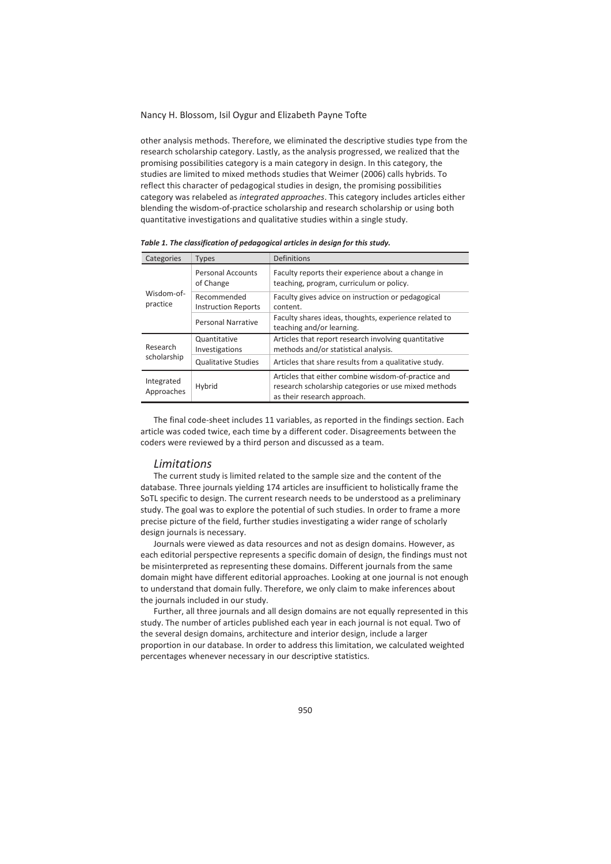other analysis methods. Therefore, we eliminated the descriptive studies type from the research scholarship category. Lastly, as the analysis progressed, we realized that the promising possibilities category is a main category in design. In this category, the studies are limited to mixed methods studies that Weimer (2006) calls hybrids. To reflect this character of pedagogical studies in design, the promising possibilities category was relabeled as *integrated approaches*. This category includes articles either blending the wisdom-of-practice scholarship and research scholarship or using both quantitative investigations and qualitative studies within a single study.

| Categories               | <b>Types</b>                              | Definitions                                                                                                                                |
|--------------------------|-------------------------------------------|--------------------------------------------------------------------------------------------------------------------------------------------|
| Wisdom-of-<br>practice   | <b>Personal Accounts</b><br>of Change     | Faculty reports their experience about a change in<br>teaching, program, curriculum or policy.                                             |
|                          | Recommended<br><b>Instruction Reports</b> | Faculty gives advice on instruction or pedagogical<br>content.                                                                             |
|                          | Personal Narrative                        | Faculty shares ideas, thoughts, experience related to<br>teaching and/or learning.                                                         |
| Research                 | Quantitative<br>Investigations            | Articles that report research involving quantitative<br>methods and/or statistical analysis.                                               |
| scholarship              | <b>Qualitative Studies</b>                | Articles that share results from a qualitative study.                                                                                      |
| Integrated<br>Approaches | Hybrid                                    | Articles that either combine wisdom-of-practice and<br>research scholarship categories or use mixed methods<br>as their research approach. |

*Table 1. The classification of pedagogical articles in design for this study.* 

The final code-sheet includes 11 variables, as reported in the findings section. Each article was coded twice, each time by a different coder. Disagreements between the coders were reviewed by a third person and discussed as a team.

#### *Limitations*

The current study is limited related to the sample size and the content of the database. Three journals yielding 174 articles are insufficient to holistically frame the SoTL specific to design. The current research needs to be understood as a preliminary study. The goal was to explore the potential of such studies. In order to frame a more precise picture of the field, further studies investigating a wider range of scholarly design journals is necessary.

Journals were viewed as data resources and not as design domains. However, as each editorial perspective represents a specific domain of design, the findings must not be misinterpreted as representing these domains. Different journals from the same domain might have different editorial approaches. Looking at one journal is not enough to understand that domain fully. Therefore, we only claim to make inferences about the journals included in our study.

Further, all three journals and all design domains are not equally represented in this study. The number of articles published each year in each journal is not equal. Two of the several design domains, architecture and interior design, include a larger proportion in our database. In order to address this limitation, we calculated weighted percentages whenever necessary in our descriptive statistics.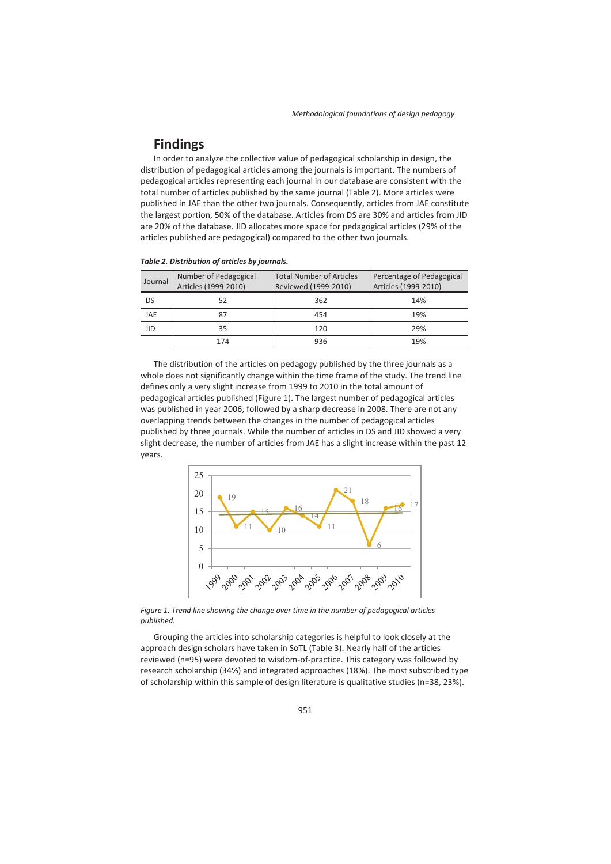# **Findings**

In order to analyze the collective value of pedagogical scholarship in design, the distribution of pedagogical articles among the journals is important. The numbers of pedagogical articles representing each journal in our database are consistent with the total number of articles published by the same journal (Table 2). More articles were published in JAE than the other two journals. Consequently, articles from JAE constitute the largest portion, 50% of the database. Articles from DS are 30% and articles from JID are 20% of the database. JID allocates more space for pedagogical articles (29% of the articles published are pedagogical) compared to the other two journals.

| Journal    | Number of Pedagogical<br>Articles (1999-2010) | <b>Total Number of Articles</b><br>Reviewed (1999-2010) | Percentage of Pedagogical<br>Articles (1999-2010) |
|------------|-----------------------------------------------|---------------------------------------------------------|---------------------------------------------------|
| DS         | 52                                            | 362                                                     | 14%                                               |
| JAE        | 87                                            | 454                                                     | 19%                                               |
| <b>JID</b> | 35                                            | 120                                                     | 29%                                               |
|            | 174                                           | 936                                                     | 19%                                               |

#### *Table 2. Distribution of articles by journals.*

The distribution of the articles on pedagogy published by the three journals as a whole does not significantly change within the time frame of the study. The trend line defines only a very slight increase from 1999 to 2010 in the total amount of pedagogical articles published (Figure 1). The largest number of pedagogical articles was published in year 2006, followed by a sharp decrease in 2008. There are not any overlapping trends between the changes in the number of pedagogical articles published by three journals. While the number of articles in DS and JID showed a very slight decrease, the number of articles from JAE has a slight increase within the past 12 years.



*Figure 1. Trend line showing the change over time in the number of pedagogical articles published.* 

Grouping the articles into scholarship categories is helpful to look closely at the approach design scholars have taken in SoTL (Table 3). Nearly half of the articles reviewed (n=95) were devoted to wisdom-of-practice. This category was followed by research scholarship (34%) and integrated approaches (18%). The most subscribed type of scholarship within this sample of design literature is qualitative studies (n=38, 23%).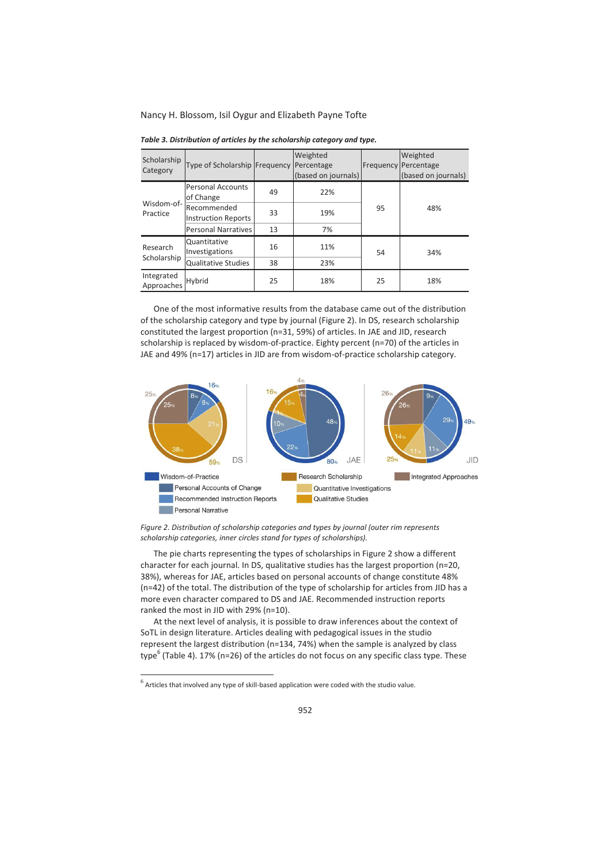| Scholarship<br>Category  | Type of Scholarship Frequency Percentage  |    | Weighted<br>(based on journals) |    | Weighted<br><b>Frequency Percentage</b><br>(based on journals) |  |
|--------------------------|-------------------------------------------|----|---------------------------------|----|----------------------------------------------------------------|--|
| Wisdom-of-<br>Practice   | <b>Personal Accounts</b><br>of Change     | 49 | 22%                             |    | 48%                                                            |  |
|                          | Recommended<br><b>Instruction Reports</b> | 33 | 19%                             | 95 |                                                                |  |
|                          | Personal Narratives                       | 13 | 7%                              |    |                                                                |  |
| Research<br>Scholarship  | Quantitative<br>Investigations            | 16 | 11%                             | 54 | 34%                                                            |  |
|                          | <b>Qualitative Studies</b>                | 38 | 23%                             |    |                                                                |  |
| Integrated<br>Approaches | Hybrid                                    | 25 | 18%                             | 25 | 18%                                                            |  |

*Table 3. Distribution of articles by the scholarship category and type.* 

One of the most informative results from the database came out of the distribution of the scholarship category and type by journal (Figure 2). In DS, research scholarship constituted the largest proportion (n=31, 59%) of articles. In JAE and JID, research scholarship is replaced by wisdom-of-practice. Eighty percent (n=70) of the articles in JAE and 49% (n=17) articles in JID are from wisdom-of-practice scholarship category.



*Figure 2. Distribution of scholarship categories and types by journal (outer rim represents scholarship categories, inner circles stand for types of scholarships).* 

The pie charts representing the types of scholarships in Figure 2 show a different character for each journal. In DS, qualitative studies has the largest proportion (n=20, 38%), whereas for JAE, articles based on personal accounts of change constitute 48% (n=42) of the total. The distribution of the type of scholarship for articles from JID has a more even character compared to DS and JAE. Recommended instruction reports ranked the most in JID with 29% (n=10).

At the next level of analysis, it is possible to draw inferences about the context of SoTL in design literature. Articles dealing with pedagogical issues in the studio represent the largest distribution (n=134, 74%) when the sample is analyzed by class type<sup>6</sup> (Table 4). 17% (n=26) of the articles do not focus on any specific class type. These

 $^6$  Articles that involved any type of skill-based application were coded with the studio value.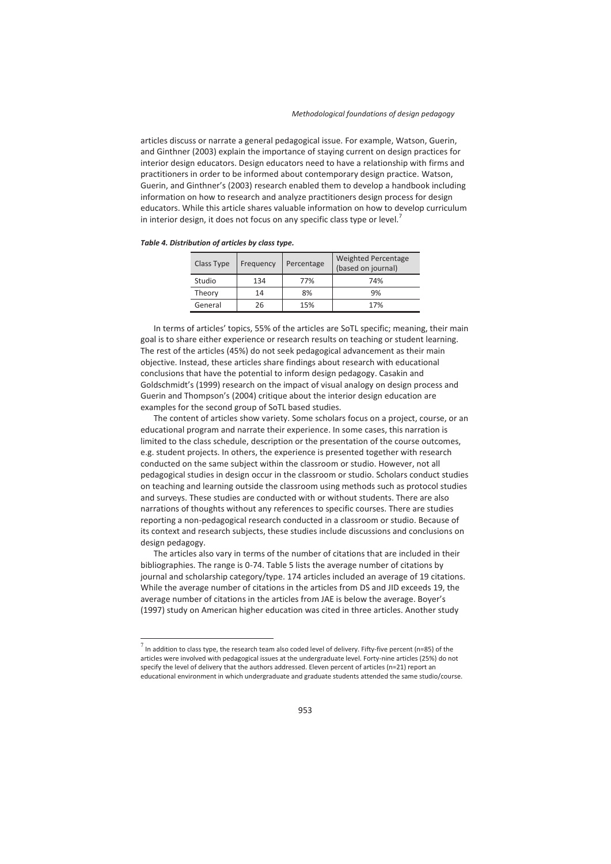articles discuss or narrate a general pedagogical issue. For example, Watson, Guerin, and Ginthner (2003) explain the importance of staying current on design practices for interior design educators. Design educators need to have a relationship with firms and practitioners in order to be informed about contemporary design practice. Watson, Guerin, and Ginthner's (2003) research enabled them to develop a handbook including information on how to research and analyze practitioners design process for design educators. While this article shares valuable information on how to develop curriculum in interior design, it does not focus on any specific class type or level.<sup>7</sup>

| Class Type | Percentage<br>Frequency |     | <b>Weighted Percentage</b><br>(based on journal) |
|------------|-------------------------|-----|--------------------------------------------------|
| Studio     | 134                     | 77% | 74%                                              |
| Theory     | 14                      | 8%  | 9%                                               |
| General    | 26                      | 15% | 17%                                              |

*Table 4. Distribution of articles by class type.* 

 $\overline{a}$ 

In terms of articles' topics, 55% of the articles are SoTL specific; meaning, their main goal is to share either experience or research results on teaching or student learning. The rest of the articles (45%) do not seek pedagogical advancement as their main objective. Instead, these articles share findings about research with educational conclusions that have the potential to inform design pedagogy. Casakin and Goldschmidt's (1999) research on the impact of visual analogy on design process and Guerin and Thompson's (2004) critique about the interior design education are examples for the second group of SoTL based studies.

The content of articles show variety. Some scholars focus on a project, course, or an educational program and narrate their experience. In some cases, this narration is limited to the class schedule, description or the presentation of the course outcomes, e.g. student projects. In others, the experience is presented together with research conducted on the same subject within the classroom or studio. However, not all pedagogical studies in design occur in the classroom or studio. Scholars conduct studies on teaching and learning outside the classroom using methods such as protocol studies and surveys. These studies are conducted with or without students. There are also narrations of thoughts without any references to specific courses. There are studies reporting a non-pedagogical research conducted in a classroom or studio. Because of its context and research subjects, these studies include discussions and conclusions on design pedagogy.

The articles also vary in terms of the number of citations that are included in their bibliographies. The range is 0-74. Table 5 lists the average number of citations by journal and scholarship category/type. 174 articles included an average of 19 citations. While the average number of citations in the articles from DS and JID exceeds 19, the average number of citations in the articles from JAE is below the average. Boyer's (1997) study on American higher education was cited in three articles. Another study

 $^7$  In addition to class type, the research team also coded level of delivery. Fifty-five percent (n=85) of the articles were involved with pedagogical issues at the undergraduate level. Forty-nine articles (25%) do not specify the level of delivery that the authors addressed. Eleven percent of articles (n=21) report an educational environment in which undergraduate and graduate students attended the same studio/course.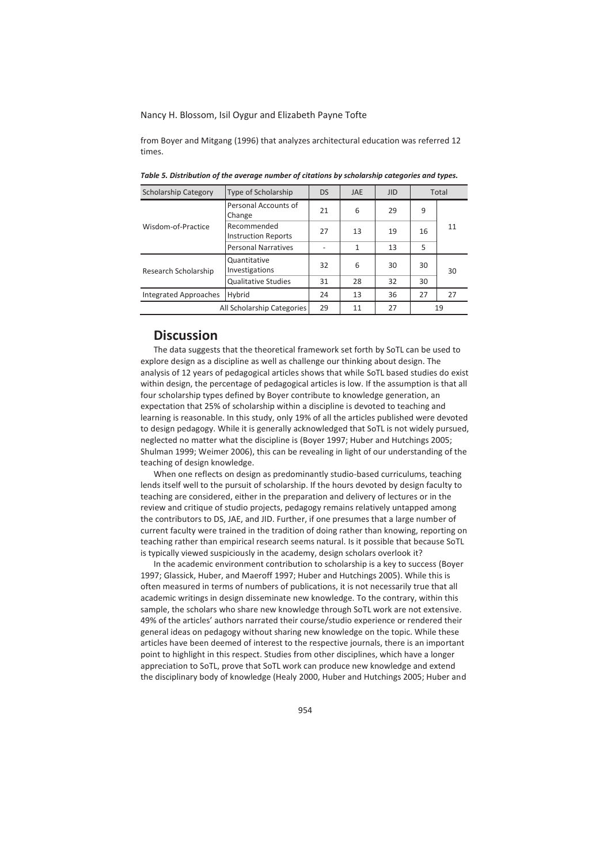from Boyer and Mitgang (1996) that analyzes architectural education was referred 12 times.

| <b>Scholarship Category</b>     | Type of Scholarship                       |    | <b>JAE</b> | <b>JID</b> |    | Total |  |
|---------------------------------|-------------------------------------------|----|------------|------------|----|-------|--|
|                                 | Personal Accounts of<br>Change            | 21 | 6          | 29         | 9  |       |  |
| Wisdom-of-Practice              | Recommended<br><b>Instruction Reports</b> | 27 | 13         | 19         | 16 | 11    |  |
|                                 | <b>Personal Narratives</b>                |    | 1          | 13         | 5  |       |  |
| Research Scholarship            | Quantitative<br>Investigations            | 32 | 6          | 30         | 30 | 30    |  |
|                                 | <b>Qualitative Studies</b>                | 31 | 28         | 32         | 30 |       |  |
| Hybrid<br>Integrated Approaches |                                           | 24 | 13         | 36         | 27 | 27    |  |
| All Scholarship Categories      |                                           | 29 | 11         | 27         |    | 19    |  |

*Table 5. Distribution of the average number of citations by scholarship categories and types.* 

## **Discussion**

The data suggests that the theoretical framework set forth by SoTL can be used to explore design as a discipline as well as challenge our thinking about design. The analysis of 12 years of pedagogical articles shows that while SoTL based studies do exist within design, the percentage of pedagogical articles is low. If the assumption is that all four scholarship types defined by Boyer contribute to knowledge generation, an expectation that 25% of scholarship within a discipline is devoted to teaching and learning is reasonable. In this study, only 19% of all the articles published were devoted to design pedagogy. While it is generally acknowledged that SoTL is not widely pursued, neglected no matter what the discipline is (Boyer 1997; Huber and Hutchings 2005; Shulman 1999; Weimer 2006), this can be revealing in light of our understanding of the teaching of design knowledge.

When one reflects on design as predominantly studio-based curriculums, teaching lends itself well to the pursuit of scholarship. If the hours devoted by design faculty to teaching are considered, either in the preparation and delivery of lectures or in the review and critique of studio projects, pedagogy remains relatively untapped among the contributors to DS, JAE, and JID. Further, if one presumes that a large number of current faculty were trained in the tradition of doing rather than knowing, reporting on teaching rather than empirical research seems natural. Is it possible that because SoTL is typically viewed suspiciously in the academy, design scholars overlook it?

In the academic environment contribution to scholarship is a key to success (Boyer 1997; Glassick, Huber, and Maeroff 1997; Huber and Hutchings 2005). While this is often measured in terms of numbers of publications, it is not necessarily true that all academic writings in design disseminate new knowledge. To the contrary, within this sample, the scholars who share new knowledge through SoTL work are not extensive. 49% of the articles' authors narrated their course/studio experience or rendered their general ideas on pedagogy without sharing new knowledge on the topic. While these articles have been deemed of interest to the respective journals, there is an important point to highlight in this respect. Studies from other disciplines, which have a longer appreciation to SoTL, prove that SoTL work can produce new knowledge and extend the disciplinary body of knowledge (Healy 2000, Huber and Hutchings 2005; Huber and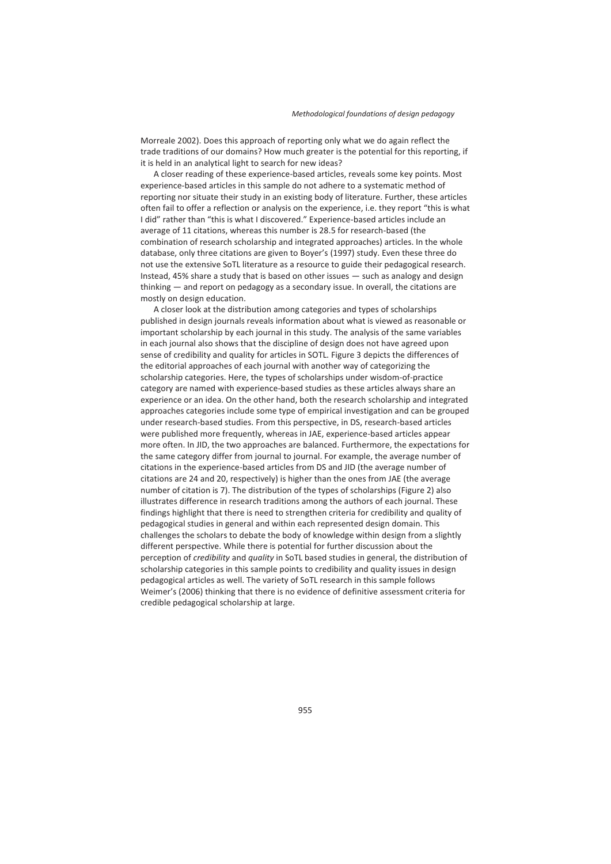Morreale 2002). Does this approach of reporting only what we do again reflect the trade traditions of our domains? How much greater is the potential for this reporting, if it is held in an analytical light to search for new ideas?

A closer reading of these experience-based articles, reveals some key points. Most experience-based articles in this sample do not adhere to a systematic method of reporting nor situate their study in an existing body of literature. Further, these articles often fail to offer a reflection or analysis on the experience, i.e. they report "this is what I did" rather than "this is what I discovered." Experience-based articles include an average of 11 citations, whereas this number is 28.5 for research-based (the combination of research scholarship and integrated approaches) articles. In the whole database, only three citations are given to Boyer's (1997) study. Even these three do not use the extensive SoTL literature as a resource to guide their pedagogical research. Instead, 45% share a study that is based on other issues — such as analogy and design thinking — and report on pedagogy as a secondary issue. In overall, the citations are mostly on design education.

A closer look at the distribution among categories and types of scholarships published in design journals reveals information about what is viewed as reasonable or important scholarship by each journal in this study. The analysis of the same variables in each journal also shows that the discipline of design does not have agreed upon sense of credibility and quality for articles in SOTL. Figure 3 depicts the differences of the editorial approaches of each journal with another way of categorizing the scholarship categories. Here, the types of scholarships under wisdom-of-practice category are named with experience-based studies as these articles always share an experience or an idea. On the other hand, both the research scholarship and integrated approaches categories include some type of empirical investigation and can be grouped under research-based studies. From this perspective, in DS, research-based articles were published more frequently, whereas in JAE, experience-based articles appear more often. In JID, the two approaches are balanced. Furthermore, the expectations for the same category differ from journal to journal. For example, the average number of citations in the experience-based articles from DS and JID (the average number of citations are 24 and 20, respectively) is higher than the ones from JAE (the average number of citation is 7). The distribution of the types of scholarships (Figure 2) also illustrates difference in research traditions among the authors of each journal. These findings highlight that there is need to strengthen criteria for credibility and quality of pedagogical studies in general and within each represented design domain. This challenges the scholars to debate the body of knowledge within design from a slightly different perspective. While there is potential for further discussion about the perception of *credibility* and *quality* in SoTL based studies in general, the distribution of scholarship categories in this sample points to credibility and quality issues in design pedagogical articles as well. The variety of SoTL research in this sample follows Weimer's (2006) thinking that there is no evidence of definitive assessment criteria for credible pedagogical scholarship at large.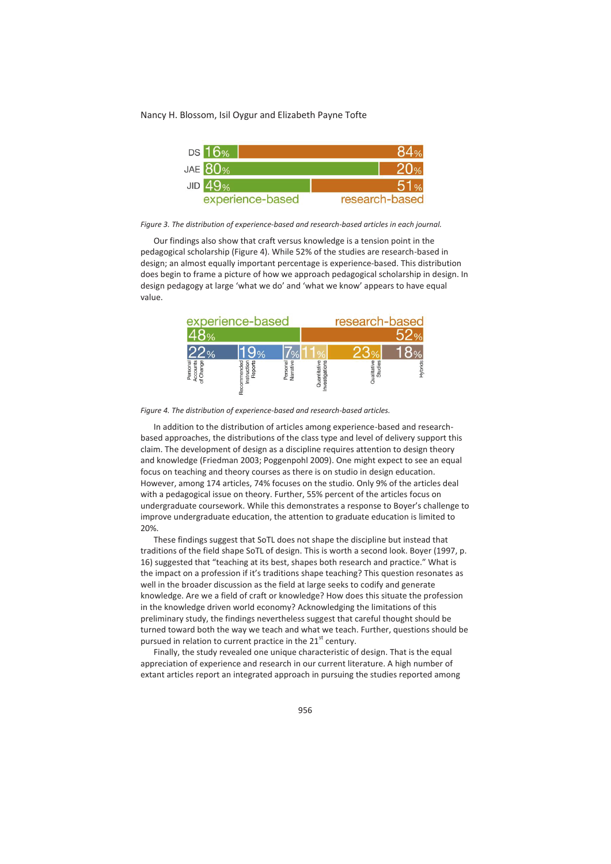

*Figure 3. The distribution of experience-based and research-based articles in each journal.* 

Our findings also show that craft versus knowledge is a tension point in the pedagogical scholarship (Figure 4). While 52% of the studies are research-based in design; an almost equally important percentage is experience-based. This distribution does begin to frame a picture of how we approach pedagogical scholarship in design. In design pedagogy at large 'what we do' and 'what we know' appears to have equal value.

|                                  | experience-based |                       |              | research-based      |                |
|----------------------------------|------------------|-----------------------|--------------|---------------------|----------------|
|                                  |                  |                       |              |                     |                |
|                                  |                  |                       |              |                     |                |
| poc<br>š<br>Persor<br>Accou<br>ď | င်္<br>늚         | Personal<br>Narrative | 冠<br>Quantit | Studie<br>Qualitati | <b>Hybrids</b> |

*Figure 4. The distribution of experience-based and research-based articles.* 

In addition to the distribution of articles among experience-based and researchbased approaches, the distributions of the class type and level of delivery support this claim. The development of design as a discipline requires attention to design theory and knowledge (Friedman 2003; Poggenpohl 2009). One might expect to see an equal focus on teaching and theory courses as there is on studio in design education. However, among 174 articles, 74% focuses on the studio. Only 9% of the articles deal with a pedagogical issue on theory. Further, 55% percent of the articles focus on undergraduate coursework. While this demonstrates a response to Boyer's challenge to improve undergraduate education, the attention to graduate education is limited to 20%.

These findings suggest that SoTL does not shape the discipline but instead that traditions of the field shape SoTL of design. This is worth a second look. Boyer (1997, p. 16) suggested that "teaching at its best, shapes both research and practice." What is the impact on a profession if it's traditions shape teaching? This question resonates as well in the broader discussion as the field at large seeks to codify and generate knowledge. Are we a field of craft or knowledge? How does this situate the profession in the knowledge driven world economy? Acknowledging the limitations of this preliminary study, the findings nevertheless suggest that careful thought should be turned toward both the way we teach and what we teach. Further, questions should be pursued in relation to current practice in the  $21<sup>st</sup>$  century.

Finally, the study revealed one unique characteristic of design. That is the equal appreciation of experience and research in our current literature. A high number of extant articles report an integrated approach in pursuing the studies reported among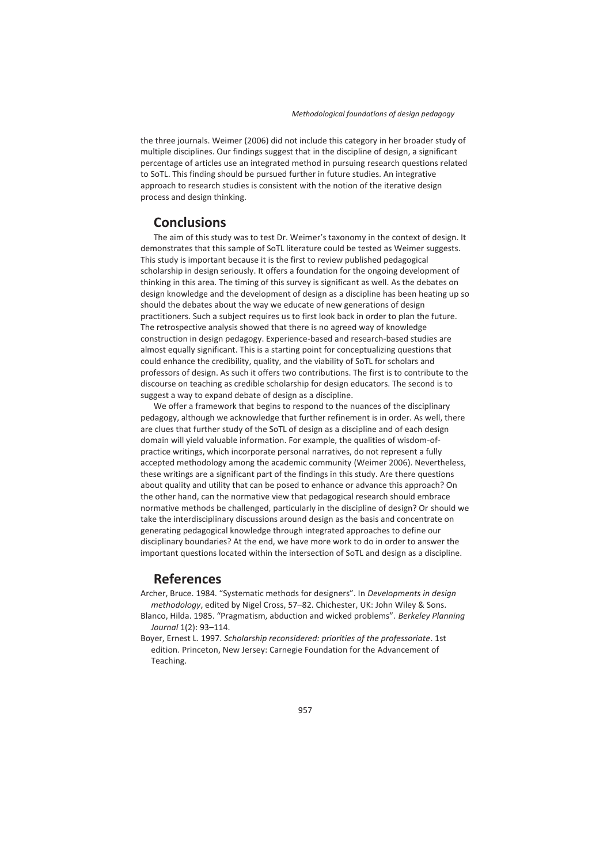the three journals. Weimer (2006) did not include this category in her broader study of multiple disciplines. Our findings suggest that in the discipline of design, a significant percentage of articles use an integrated method in pursuing research questions related to SoTL. This finding should be pursued further in future studies. An integrative approach to research studies is consistent with the notion of the iterative design process and design thinking.

# **Conclusions**

The aim of this study was to test Dr. Weimer's taxonomy in the context of design. It demonstrates that this sample of SoTL literature could be tested as Weimer suggests. This study is important because it is the first to review published pedagogical scholarship in design seriously. It offers a foundation for the ongoing development of thinking in this area. The timing of this survey is significant as well. As the debates on design knowledge and the development of design as a discipline has been heating up so should the debates about the way we educate of new generations of design practitioners. Such a subject requires us to first look back in order to plan the future. The retrospective analysis showed that there is no agreed way of knowledge construction in design pedagogy. Experience-based and research-based studies are almost equally significant. This is a starting point for conceptualizing questions that could enhance the credibility, quality, and the viability of SoTL for scholars and professors of design. As such it offers two contributions. The first is to contribute to the discourse on teaching as credible scholarship for design educators. The second is to suggest a way to expand debate of design as a discipline.

We offer a framework that begins to respond to the nuances of the disciplinary pedagogy, although we acknowledge that further refinement is in order. As well, there are clues that further study of the SoTL of design as a discipline and of each design domain will yield valuable information. For example, the qualities of wisdom-ofpractice writings, which incorporate personal narratives, do not represent a fully accepted methodology among the academic community (Weimer 2006). Nevertheless, these writings are a significant part of the findings in this study. Are there questions about quality and utility that can be posed to enhance or advance this approach? On the other hand, can the normative view that pedagogical research should embrace normative methods be challenged, particularly in the discipline of design? Or should we take the interdisciplinary discussions around design as the basis and concentrate on generating pedagogical knowledge through integrated approaches to define our disciplinary boundaries? At the end, we have more work to do in order to answer the important questions located within the intersection of SoTL and design as a discipline.

# **References**

Archer, Bruce. 1984. "Systematic methods for designers". In *Developments in design methodology*, edited by Nigel Cross, 57–82. Chichester, UK: John Wiley & Sons.

- Blanco, Hilda. 1985. "Pragmatism, abduction and wicked problems". *Berkeley Planning Journal* 1(2): 93–114.
- Boyer, Ernest L. 1997. *Scholarship reconsidered: priorities of the professoriate*. 1st edition. Princeton, New Jersey: Carnegie Foundation for the Advancement of Teaching.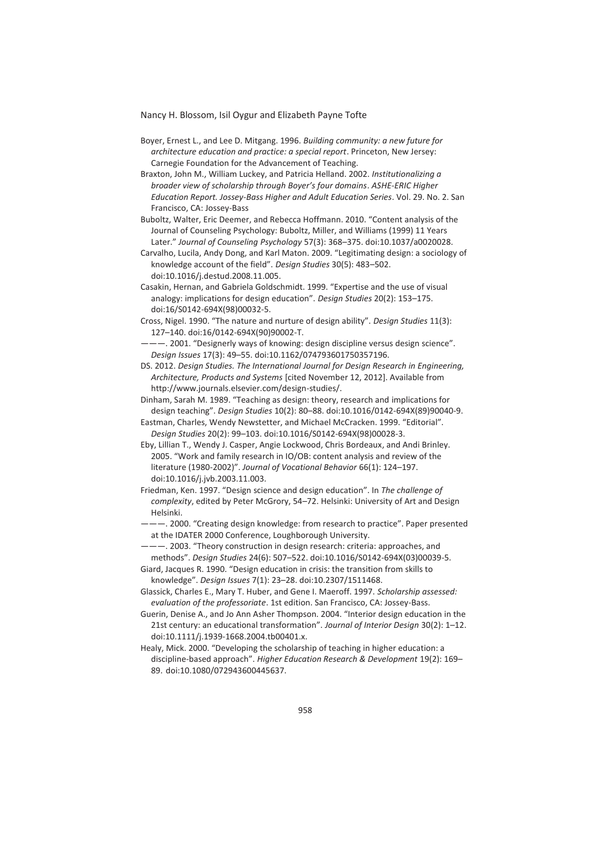- Boyer, Ernest L., and Lee D. Mitgang. 1996. *Building community: a new future for architecture education and practice: a special report*. Princeton, New Jersey: Carnegie Foundation for the Advancement of Teaching.
- Braxton, John M., William Luckey, and Patricia Helland. 2002. *Institutionalizing a broader view of scholarship through Boyer's four domains*. *ASHE-ERIC Higher Education Report. Jossey-Bass Higher and Adult Education Series*. Vol. 29. No. 2. San Francisco, CA: Jossey-Bass
- Buboltz, Walter, Eric Deemer, and Rebecca Hoffmann. 2010. "Content analysis of the Journal of Counseling Psychology: Buboltz, Miller, and Williams (1999) 11 Years Later." *Journal of Counseling Psychology* 57(3): 368–375. doi:10.1037/a0020028.
- Carvalho, Lucila, Andy Dong, and Karl Maton. 2009. "Legitimating design: a sociology of knowledge account of the field". *Design Studies* 30(5): 483–502. doi:10.1016/j.destud.2008.11.005.
- Casakin, Hernan, and Gabriela Goldschmidt. 1999. "Expertise and the use of visual analogy: implications for design education". *Design Studies* 20(2): 153–175. doi:16/S0142-694X(98)00032-5.
- Cross, Nigel. 1990. "The nature and nurture of design ability". *Design Studies* 11(3): 127–140. doi:16/0142-694X(90)90002-T.
- ———. 2001. "Designerly ways of knowing: design discipline versus design science". *Design Issues* 17(3): 49–55. doi:10.1162/074793601750357196.
- DS. 2012. *Design Studies. The International Journal for Design Research in Engineering, Architecture, Products and Systems* [cited November 12, 2012]. Available from http://www.journals.elsevier.com/design-studies/.
- Dinham, Sarah M. 1989. "Teaching as design: theory, research and implications for design teaching". *Design Studies* 10(2): 80–88. doi:10.1016/0142-694X(89)90040-9.
- Eastman, Charles, Wendy Newstetter, and Michael McCracken. 1999. "Editorial". *Design Studies* 20(2): 99–103. doi:10.1016/S0142-694X(98)00028-3.
- Eby, Lillian T., Wendy J. Casper, Angie Lockwood, Chris Bordeaux, and Andi Brinley. 2005. "Work and family research in IO/OB: content analysis and review of the literature (1980-2002)". *Journal of Vocational Behavior* 66(1): 124–197. doi:10.1016/j.jvb.2003.11.003.
- Friedman, Ken. 1997. "Design science and design education". In *The challenge of complexity*, edited by Peter McGrory, 54–72. Helsinki: University of Art and Design Helsinki.
- ———. 2000. "Creating design knowledge: from research to practice". Paper presented at the IDATER 2000 Conference, Loughborough University.
- ———. 2003. "Theory construction in design research: criteria: approaches, and methods". *Design Studies* 24(6): 507–522. doi:10.1016/S0142-694X(03)00039-5.
- Giard, Jacques R. 1990. "Design education in crisis: the transition from skills to knowledge". *Design Issues* 7(1): 23–28. doi:10.2307/1511468.
- Glassick, Charles E., Mary T. Huber, and Gene I. Maeroff. 1997. *Scholarship assessed: evaluation of the professoriate*. 1st edition. San Francisco, CA: Jossey-Bass.
- Guerin, Denise A., and Jo Ann Asher Thompson. 2004. "Interior design education in the 21st century: an educational transformation". *Journal of Interior Design* 30(2): 1–12. doi:10.1111/j.1939-1668.2004.tb00401.x.
- Healy, Mick. 2000. "Developing the scholarship of teaching in higher education: a discipline-based approach". *Higher Education Research & Development* 19(2): 169– 89. doi:10.1080/072943600445637.